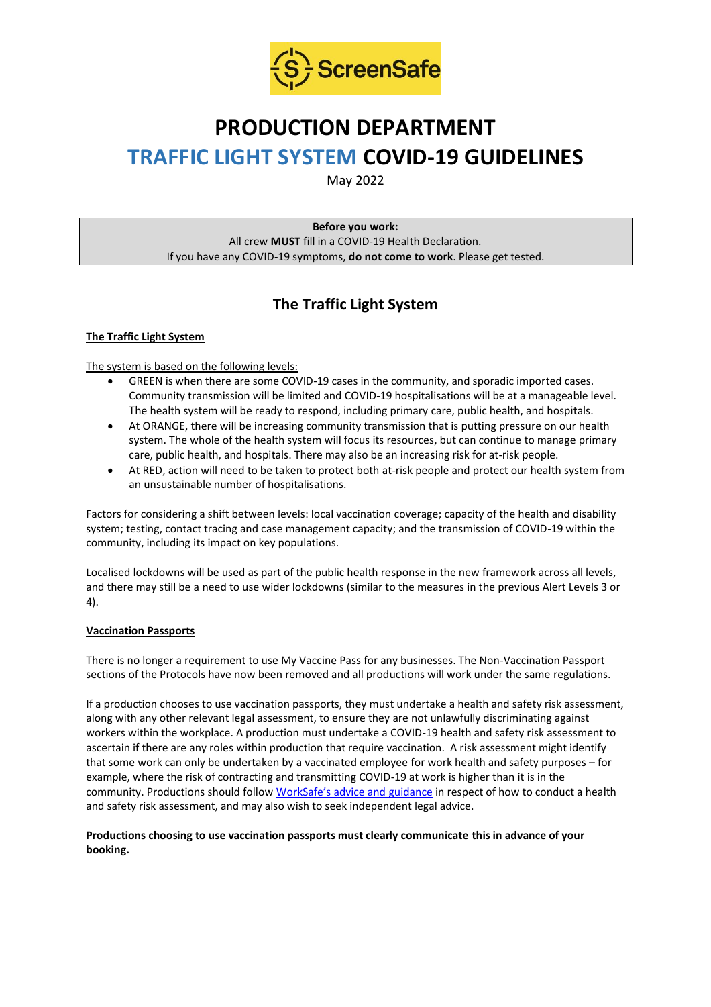

# **PRODUCTION DEPARTMENT TRAFFIC LIGHT SYSTEM COVID-19 GUIDELINES**

May 2022

**Before you work:** All crew **MUST** fill in a COVID-19 Health Declaration. If you have any COVID-19 symptoms, **do not come to work**. Please get tested.

# **The Traffic Light System**

# **The Traffic Light System**

The system is based on the following levels:

- GREEN is when there are some COVID-19 cases in the community, and sporadic imported cases. Community transmission will be limited and COVID-19 hospitalisations will be at a manageable level. The health system will be ready to respond, including primary care, public health, and hospitals.
- At ORANGE, there will be increasing community transmission that is putting pressure on our health system. The whole of the health system will focus its resources, but can continue to manage primary care, public health, and hospitals. There may also be an increasing risk for at-risk people.
- At RED, action will need to be taken to protect both at-risk people and protect our health system from an unsustainable number of hospitalisations.

Factors for considering a shift between levels: local vaccination coverage; capacity of the health and disability system; testing, contact tracing and case management capacity; and the transmission of COVID-19 within the community, including its impact on key populations.

Localised lockdowns will be used as part of the public health response in the new framework across all levels, and there may still be a need to use wider lockdowns (similar to the measures in the previous Alert Levels 3 or 4).

### **Vaccination Passports**

There is no longer a requirement to use My Vaccine Pass for any businesses. The Non-Vaccination Passport sections of the Protocols have now been removed and all productions will work under the same regulations.

If a production chooses to use vaccination passports, they must undertake a health and safety risk assessment, along with any other relevant legal assessment, to ensure they are not unlawfully discriminating against workers within the workplace. A production must undertake a COVID-19 health and safety risk assessment to ascertain if there are any roles within production that require vaccination. A risk assessment might identify that some work can only be undertaken by a vaccinated employee for work health and safety purposes – for example, where the risk of contracting and transmitting COVID-19 at work is higher than it is in the community. Productions should follow [WorkSafe's advice and guidance](https://www.worksafe.govt.nz/managing-health-and-safety/novel-coronavirus-covid/covid-19-controls-at-work/) in respect of how to conduct a health and safety risk assessment, and may also wish to seek independent legal advice.

#### **Productions choosing to use vaccination passports must clearly communicate this in advance of your booking.**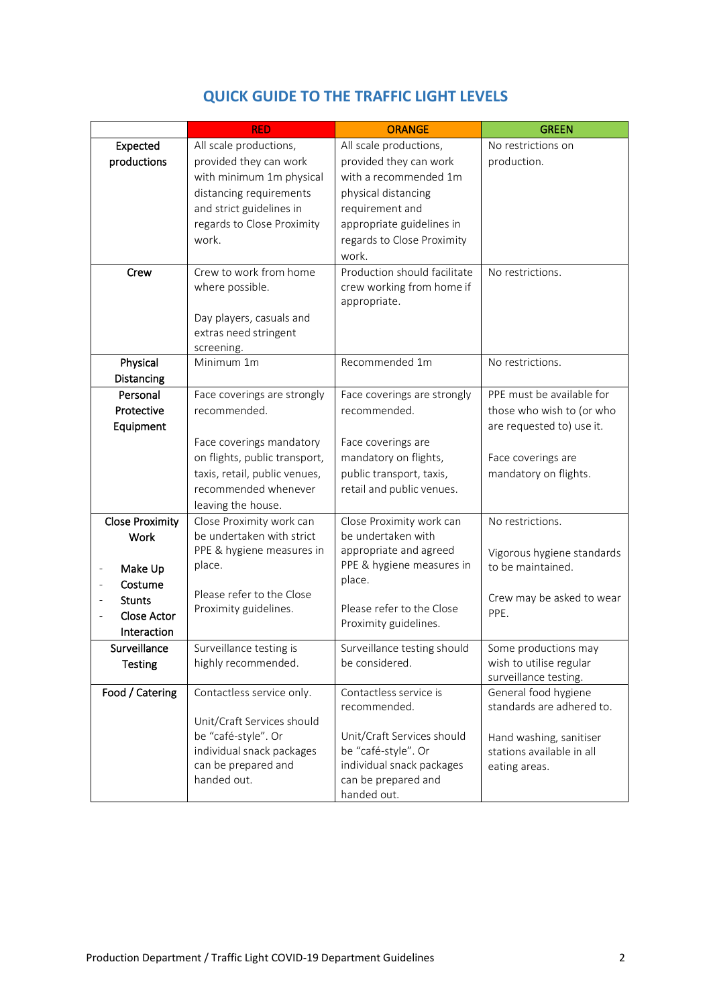|                                         | <b>RED</b>                    | <b>ORANGE</b>                | <b>GREEN</b>               |
|-----------------------------------------|-------------------------------|------------------------------|----------------------------|
| Expected                                | All scale productions,        | All scale productions,       | No restrictions on         |
| productions                             | provided they can work        | provided they can work       | production.                |
|                                         | with minimum 1m physical      | with a recommended 1m        |                            |
|                                         | distancing requirements       | physical distancing          |                            |
|                                         | and strict guidelines in      | requirement and              |                            |
|                                         | regards to Close Proximity    | appropriate guidelines in    |                            |
|                                         | work.                         | regards to Close Proximity   |                            |
|                                         |                               | work.                        |                            |
| Crew                                    | Crew to work from home        | Production should facilitate | No restrictions.           |
|                                         | where possible.               | crew working from home if    |                            |
|                                         |                               | appropriate.                 |                            |
|                                         | Day players, casuals and      |                              |                            |
|                                         | extras need stringent         |                              |                            |
|                                         | screening.                    |                              |                            |
| Physical                                | Minimum 1m                    | Recommended 1m               | No restrictions.           |
| Distancing                              |                               |                              |                            |
| Personal                                | Face coverings are strongly   | Face coverings are strongly  | PPE must be available for  |
| Protective                              | recommended.                  | recommended.                 | those who wish to (or who  |
| Equipment                               |                               |                              | are requested to) use it.  |
|                                         | Face coverings mandatory      | Face coverings are           |                            |
|                                         | on flights, public transport, | mandatory on flights,        | Face coverings are         |
|                                         | taxis, retail, public venues, | public transport, taxis,     | mandatory on flights.      |
|                                         | recommended whenever          | retail and public venues.    |                            |
|                                         | leaving the house.            |                              |                            |
| <b>Close Proximity</b>                  | Close Proximity work can      | Close Proximity work can     | No restrictions.           |
| <b>Work</b>                             | be undertaken with strict     | be undertaken with           |                            |
|                                         | PPE & hygiene measures in     | appropriate and agreed       | Vigorous hygiene standards |
| Make Up<br>$\qquad \qquad \blacksquare$ | place.                        | PPE & hygiene measures in    | to be maintained.          |
| Costume                                 |                               | place.                       |                            |
| <b>Stunts</b>                           | Please refer to the Close     |                              | Crew may be asked to wear  |
| <b>Close Actor</b>                      | Proximity guidelines.         | Please refer to the Close    | PPE.                       |
| Interaction                             |                               | Proximity guidelines.        |                            |
| Surveillance                            | Surveillance testing is       | Surveillance testing should  | Some productions may       |
| <b>Testing</b>                          | highly recommended.           | be considered.               | wish to utilise regular    |
|                                         |                               |                              | surveillance testing.      |
| Food / Catering                         | Contactless service only.     | Contactless service is       | General food hygiene       |
|                                         |                               | recommended.                 | standards are adhered to.  |
|                                         | Unit/Craft Services should    |                              |                            |
|                                         | be "café-style". Or           | Unit/Craft Services should   | Hand washing, sanitiser    |
|                                         | individual snack packages     | be "café-style". Or          | stations available in all  |
|                                         | can be prepared and           | individual snack packages    | eating areas.              |
|                                         | handed out.                   | can be prepared and          |                            |
|                                         |                               | handed out.                  |                            |

# **QUICK GUIDE TO THE TRAFFIC LIGHT LEVELS**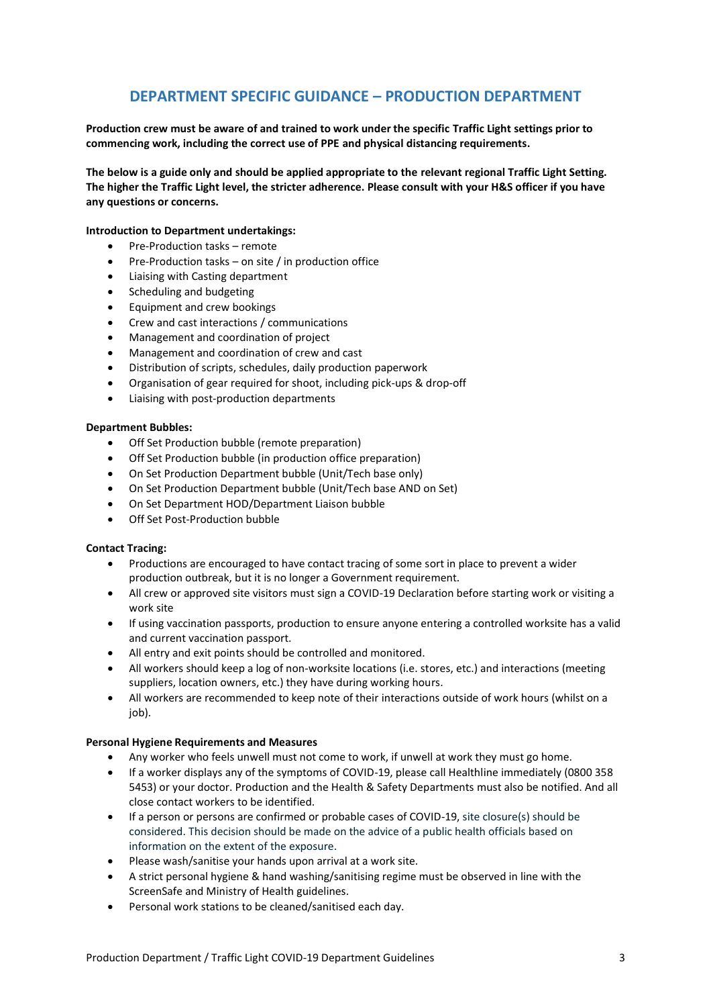# **DEPARTMENT SPECIFIC GUIDANCE – PRODUCTION DEPARTMENT**

**Production crew must be aware of and trained to work under the specific Traffic Light settings prior to commencing work, including the correct use of PPE and physical distancing requirements.**

**The below is a guide only and should be applied appropriate to the relevant regional Traffic Light Setting. The higher the Traffic Light level, the stricter adherence. Please consult with your H&S officer if you have any questions or concerns.**

#### **Introduction to Department undertakings:**

- Pre-Production tasks remote
- Pre-Production tasks on site / in production office
- Liaising with Casting department
- Scheduling and budgeting
- Equipment and crew bookings
- Crew and cast interactions / communications
- Management and coordination of project
- Management and coordination of crew and cast
- Distribution of scripts, schedules, daily production paperwork
- Organisation of gear required for shoot, including pick-ups & drop-off
- Liaising with post-production departments

#### **Department Bubbles:**

- Off Set Production bubble (remote preparation)
- Off Set Production bubble (in production office preparation)
- On Set Production Department bubble (Unit/Tech base only)
- On Set Production Department bubble (Unit/Tech base AND on Set)
- On Set Department HOD/Department Liaison bubble
- Off Set Post-Production bubble

#### **Contact Tracing:**

- Productions are encouraged to have contact tracing of some sort in place to prevent a wider production outbreak, but it is no longer a Government requirement.
- All crew or approved site visitors must sign a COVID-19 Declaration before starting work or visiting a work site
- If using vaccination passports, production to ensure anyone entering a controlled worksite has a valid and current vaccination passport.
- All entry and exit points should be controlled and monitored.
- All workers should keep a log of non-worksite locations (i.e. stores, etc.) and interactions (meeting suppliers, location owners, etc.) they have during working hours.
- All workers are recommended to keep note of their interactions outside of work hours (whilst on a job).

#### **Personal Hygiene Requirements and Measures**

- Any worker who feels unwell must not come to work, if unwell at work they must go home.
- If a worker displays any of the symptoms of COVID-19, please call Healthline immediately (0800 358 5453) or your doctor. Production and the Health & Safety Departments must also be notified. And all close contact workers to be identified.
- If a person or persons are confirmed or probable cases of COVID-19, site closure(s) should be considered. This decision should be made on the advice of a public health officials based on information on the extent of the exposure.
- Please wash/sanitise your hands upon arrival at a work site.
- A strict personal hygiene & hand washing/sanitising regime must be observed in line with the ScreenSafe and Ministry of Health guidelines.
- Personal work stations to be cleaned/sanitised each day.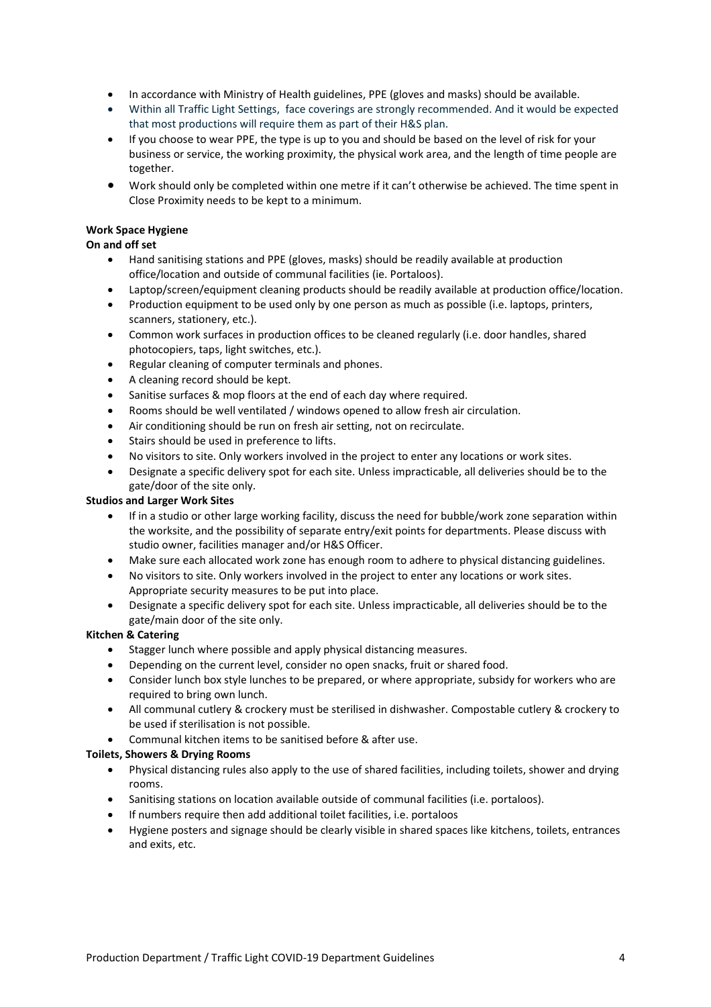- In accordance with Ministry of Health guidelines, PPE (gloves and masks) should be available.
- Within all Traffic Light Settings, face coverings are strongly recommended. And it would be expected that most productions will require them as part of their H&S plan.
- If you choose to wear PPE, the type is up to you and should be based on the level of risk for your business or service, the working proximity, the physical work area, and the length of time people are together.
- Work should only be completed within one metre if it can't otherwise be achieved. The time spent in Close Proximity needs to be kept to a minimum.

## **Work Space Hygiene**

#### **On and off set**

- Hand sanitising stations and PPE (gloves, masks) should be readily available at production office/location and outside of communal facilities (ie. Portaloos).
- Laptop/screen/equipment cleaning products should be readily available at production office/location.
- Production equipment to be used only by one person as much as possible (i.e. laptops, printers, scanners, stationery, etc.).
- Common work surfaces in production offices to be cleaned regularly (i.e. door handles, shared photocopiers, taps, light switches, etc.).
- Regular cleaning of computer terminals and phones.
- A cleaning record should be kept.
- Sanitise surfaces & mop floors at the end of each day where required.
- Rooms should be well ventilated / windows opened to allow fresh air circulation.
- Air conditioning should be run on fresh air setting, not on recirculate.
- Stairs should be used in preference to lifts.
- No visitors to site. Only workers involved in the project to enter any locations or work sites.
- Designate a specific delivery spot for each site. Unless impracticable, all deliveries should be to the gate/door of the site only.

#### **Studios and Larger Work Sites**

- If in a studio or other large working facility, discuss the need for bubble/work zone separation within the worksite, and the possibility of separate entry/exit points for departments. Please discuss with studio owner, facilities manager and/or H&S Officer.
- Make sure each allocated work zone has enough room to adhere to physical distancing guidelines.
- No visitors to site. Only workers involved in the project to enter any locations or work sites. Appropriate security measures to be put into place.
- Designate a specific delivery spot for each site. Unless impracticable, all deliveries should be to the gate/main door of the site only.

#### **Kitchen & Catering**

- Stagger lunch where possible and apply physical distancing measures.
- Depending on the current level, consider no open snacks, fruit or shared food.
- Consider lunch box style lunches to be prepared, or where appropriate, subsidy for workers who are required to bring own lunch.
- All communal cutlery & crockery must be sterilised in dishwasher. Compostable cutlery & crockery to be used if sterilisation is not possible.
- Communal kitchen items to be sanitised before & after use.

#### **Toilets, Showers & Drying Rooms**

- Physical distancing rules also apply to the use of shared facilities, including toilets, shower and drying rooms.
- Sanitising stations on location available outside of communal facilities (i.e. portaloos).
- If numbers require then add additional toilet facilities, i.e. portaloos
- Hygiene posters and signage should be clearly visible in shared spaces like kitchens, toilets, entrances and exits, etc.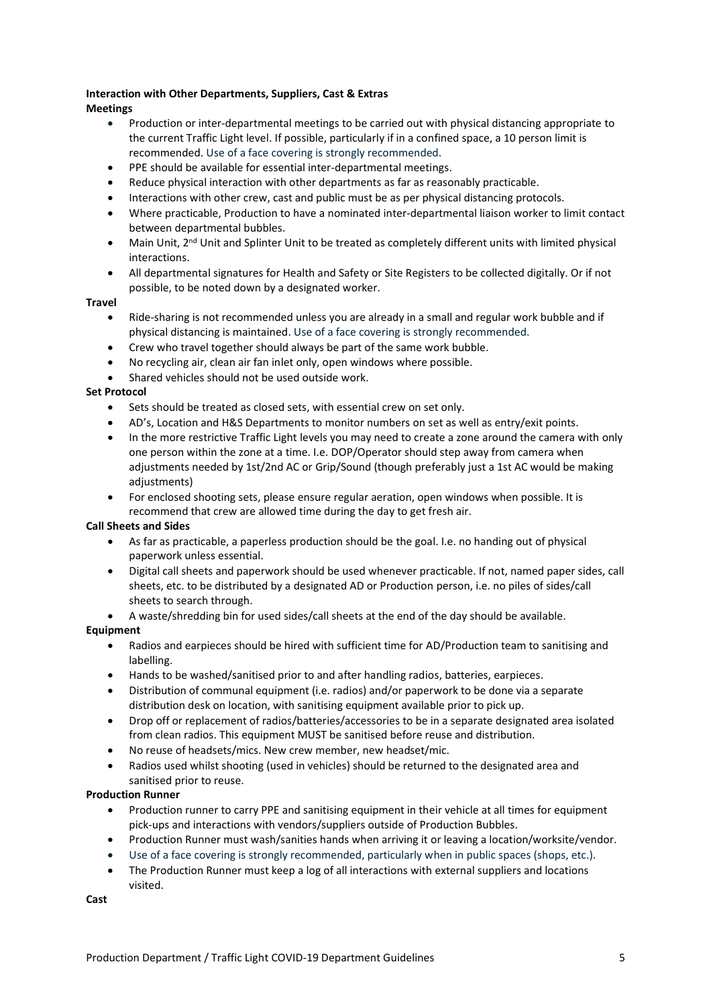# **Interaction with Other Departments, Suppliers, Cast & Extras**

#### **Meetings**

- Production or inter-departmental meetings to be carried out with physical distancing appropriate to the current Traffic Light level. If possible, particularly if in a confined space, a 10 person limit is recommended. Use of a face covering is strongly recommended.
- PPE should be available for essential inter-departmental meetings.
- Reduce physical interaction with other departments as far as reasonably practicable.
- Interactions with other crew, cast and public must be as per physical distancing protocols.
- Where practicable, Production to have a nominated inter-departmental liaison worker to limit contact between departmental bubbles.
- Main Unit, 2<sup>nd</sup> Unit and Splinter Unit to be treated as completely different units with limited physical interactions.
- All departmental signatures for Health and Safety or Site Registers to be collected digitally. Or if not possible, to be noted down by a designated worker.

#### **Travel**

- Ride-sharing is not recommended unless you are already in a small and regular work bubble and if physical distancing is maintained. Use of a face covering is strongly recommended.
- Crew who travel together should always be part of the same work bubble.
- No recycling air, clean air fan inlet only, open windows where possible.
- Shared vehicles should not be used outside work.

#### **Set Protocol**

- Sets should be treated as closed sets, with essential crew on set only.
- AD's, Location and H&S Departments to monitor numbers on set as well as entry/exit points.
- In the more restrictive Traffic Light levels you may need to create a zone around the camera with only one person within the zone at a time. I.e. DOP/Operator should step away from camera when adjustments needed by 1st/2nd AC or Grip/Sound (though preferably just a 1st AC would be making adjustments)
- For enclosed shooting sets, please ensure regular aeration, open windows when possible. It is recommend that crew are allowed time during the day to get fresh air.

#### **Call Sheets and Sides**

- As far as practicable, a paperless production should be the goal. I.e. no handing out of physical paperwork unless essential.
- Digital call sheets and paperwork should be used whenever practicable. If not, named paper sides, call sheets, etc. to be distributed by a designated AD or Production person, i.e. no piles of sides/call sheets to search through.
- A waste/shredding bin for used sides/call sheets at the end of the day should be available.

### **Equipment**

- Radios and earpieces should be hired with sufficient time for AD/Production team to sanitising and labelling.
- Hands to be washed/sanitised prior to and after handling radios, batteries, earpieces.
- Distribution of communal equipment (i.e. radios) and/or paperwork to be done via a separate distribution desk on location, with sanitising equipment available prior to pick up.
- Drop off or replacement of radios/batteries/accessories to be in a separate designated area isolated from clean radios. This equipment MUST be sanitised before reuse and distribution.
- No reuse of headsets/mics. New crew member, new headset/mic.
- Radios used whilst shooting (used in vehicles) should be returned to the designated area and sanitised prior to reuse.

#### **Production Runner**

- Production runner to carry PPE and sanitising equipment in their vehicle at all times for equipment pick-ups and interactions with vendors/suppliers outside of Production Bubbles.
- Production Runner must wash/sanities hands when arriving it or leaving a location/worksite/vendor.
- Use of a face covering is strongly recommended, particularly when in public spaces (shops, etc.).
- The Production Runner must keep a log of all interactions with external suppliers and locations visited.

**Cast**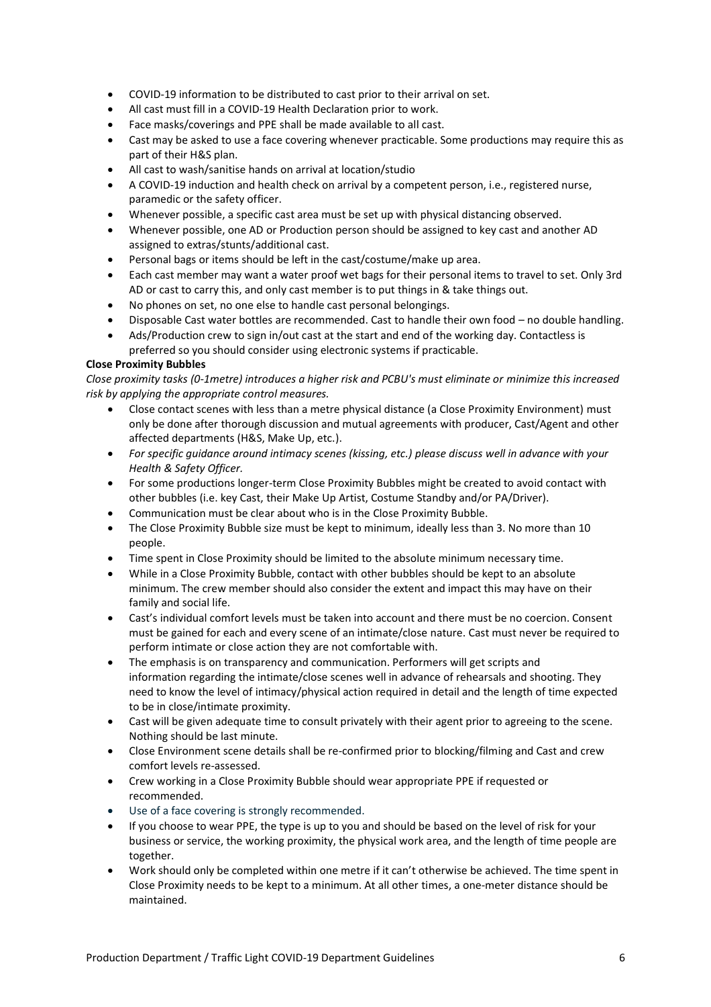- COVID-19 information to be distributed to cast prior to their arrival on set.
- All cast must fill in a COVID-19 Health Declaration prior to work.
- Face masks/coverings and PPE shall be made available to all cast.
- Cast may be asked to use a face covering whenever practicable. Some productions may require this as part of their H&S plan.
- All cast to wash/sanitise hands on arrival at location/studio
- A COVID-19 induction and health check on arrival by a competent person, i.e., registered nurse, paramedic or the safety officer.
- Whenever possible, a specific cast area must be set up with physical distancing observed.
- Whenever possible, one AD or Production person should be assigned to key cast and another AD assigned to extras/stunts/additional cast.
- Personal bags or items should be left in the cast/costume/make up area.
- Each cast member may want a water proof wet bags for their personal items to travel to set. Only 3rd AD or cast to carry this, and only cast member is to put things in & take things out.
- No phones on set, no one else to handle cast personal belongings.
- Disposable Cast water bottles are recommended. Cast to handle their own food no double handling.
- Ads/Production crew to sign in/out cast at the start and end of the working day. Contactless is preferred so you should consider using electronic systems if practicable.

#### **Close Proximity Bubbles**

*Close proximity tasks (0-1metre) introduces a higher risk and PCBU's must eliminate or minimize this increased risk by applying the appropriate control measures.* 

- Close contact scenes with less than a metre physical distance (a Close Proximity Environment) must only be done after thorough discussion and mutual agreements with producer, Cast/Agent and other affected departments (H&S, Make Up, etc.).
- *For specific guidance around intimacy scenes (kissing, etc.) please discuss well in advance with your Health & Safety Officer.*
- For some productions longer-term Close Proximity Bubbles might be created to avoid contact with other bubbles (i.e. key Cast, their Make Up Artist, Costume Standby and/or PA/Driver).
- Communication must be clear about who is in the Close Proximity Bubble.
- The Close Proximity Bubble size must be kept to minimum, ideally less than 3. No more than 10 people.
- Time spent in Close Proximity should be limited to the absolute minimum necessary time.
- While in a Close Proximity Bubble, contact with other bubbles should be kept to an absolute minimum. The crew member should also consider the extent and impact this may have on their family and social life.
- Cast's individual comfort levels must be taken into account and there must be no coercion. Consent must be gained for each and every scene of an intimate/close nature. Cast must never be required to perform intimate or close action they are not comfortable with.
- The emphasis is on transparency and communication. Performers will get scripts and information regarding the intimate/close scenes well in advance of rehearsals and shooting. They need to know the level of intimacy/physical action required in detail and the length of time expected to be in close/intimate proximity.
- Cast will be given adequate time to consult privately with their agent prior to agreeing to the scene. Nothing should be last minute.
- Close Environment scene details shall be re-confirmed prior to blocking/filming and Cast and crew comfort levels re-assessed.
- Crew working in a Close Proximity Bubble should wear appropriate PPE if requested or recommended.
- Use of a face covering is strongly recommended.
- If you choose to wear PPE, the type is up to you and should be based on the level of risk for your business or service, the working proximity, the physical work area, and the length of time people are together.
- Work should only be completed within one metre if it can't otherwise be achieved. The time spent in Close Proximity needs to be kept to a minimum. At all other times, a one-meter distance should be maintained.